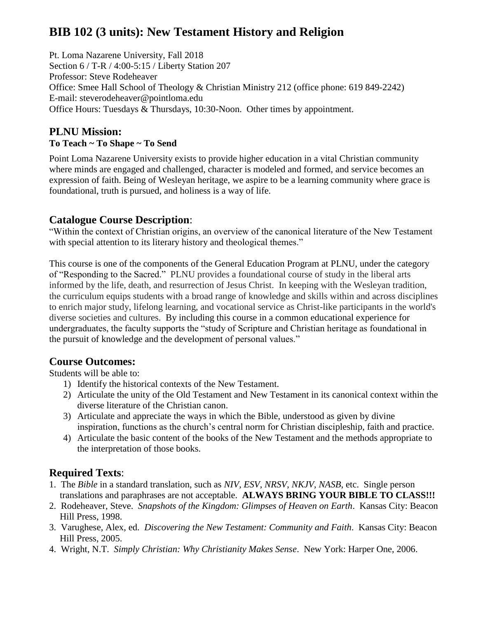# **BIB 102 (3 units): New Testament History and Religion**

Pt. Loma Nazarene University, Fall 2018 Section 6 / T-R / 4:00-5:15 / Liberty Station 207 Professor: Steve Rodeheaver Office: Smee Hall School of Theology & Christian Ministry 212 (office phone: 619 849-2242) E-mail: [steverodeheaver@pointloma.edu](mailto:steverodeheaver@pointloma.edu) Office Hours: Tuesdays & Thursdays, 10:30-Noon. Other times by appointment.

### **PLNU Mission: To Teach ~ To Shape ~ To Send**

Point Loma Nazarene University exists to provide higher education in a vital Christian community where minds are engaged and challenged, character is modeled and formed, and service becomes an expression of faith. Being of Wesleyan heritage, we aspire to be a learning community where grace is foundational, truth is pursued, and holiness is a way of life.

### **Catalogue Course Description**:

"Within the context of Christian origins, an overview of the canonical literature of the New Testament with special attention to its literary history and theological themes."

This course is one of the components of the General Education Program at PLNU, under the category of "Responding to the Sacred." PLNU provides a foundational course of study in the liberal arts informed by the life, death, and resurrection of Jesus Christ. In keeping with the Wesleyan tradition, the curriculum equips students with a broad range of knowledge and skills within and across disciplines to enrich major study, lifelong learning, and vocational service as Christ-like participants in the world's diverse societies and cultures. By including this course in a common educational experience for undergraduates, the faculty supports the "study of Scripture and Christian heritage as foundational in the pursuit of knowledge and the development of personal values."

### **Course Outcomes:**

Students will be able to:

- 1) Identify the historical contexts of the New Testament.
- 2) Articulate the unity of the Old Testament and New Testament in its canonical context within the diverse literature of the Christian canon.
- 3) Articulate and appreciate the ways in which the Bible, understood as given by divine inspiration, functions as the church's central norm for Christian discipleship, faith and practice.
- 4) Articulate the basic content of the books of the New Testament and the methods appropriate to the interpretation of those books.

# **Required Texts**:

- 1. The *Bible* in a standard translation, such as *NIV*, *ESV*, *NRSV*, *NKJV*, *NASB*, etc. Single person translations and paraphrases are not acceptable. **ALWAYS BRING YOUR BIBLE TO CLASS!!!**
- 2. Rodeheaver, Steve. *Snapshots of the Kingdom: Glimpses of Heaven on Earth*. Kansas City: Beacon Hill Press, 1998.
- 3. Varughese, Alex, ed. *Discovering the New Testament: Community and Faith*. Kansas City: Beacon Hill Press, 2005.
- 4. Wright, N.T. *Simply Christian: Why Christianity Makes Sense*. New York: Harper One, 2006.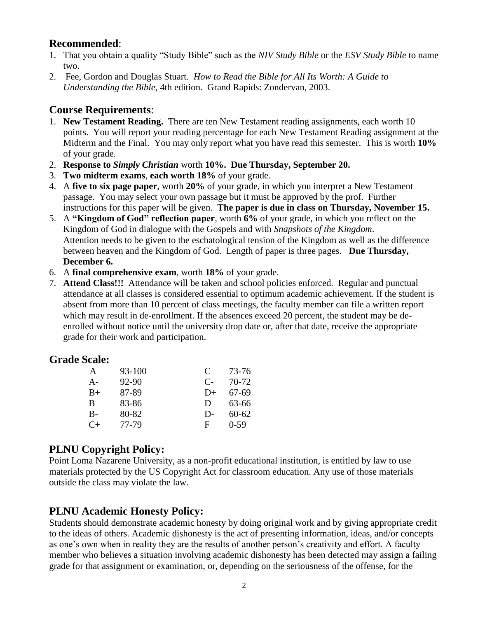### **Recommended**:

- 1. That you obtain a quality "Study Bible" such as the *NIV Study Bible* or the *ESV Study Bible* to name two.
- 2. Fee, Gordon and Douglas Stuart. *How to Read the Bible for All Its Worth: A Guide to Understanding the Bible*, 4th edition. Grand Rapids: Zondervan, 2003.

### **Course Requirements**:

- 1. **New Testament Reading.** There are ten New Testament reading assignments, each worth 10 points. You will report your reading percentage for each New Testament Reading assignment at the Midterm and the Final. You may only report what you have read this semester. This is worth **10%** of your grade.
- 2. **Response to** *Simply Christian* worth **10%. Due Thursday, September 20.**
- 3. **Two midterm exams**, **each worth 18%** of your grade.
- 4. A **five to six page paper**, worth **20%** of your grade, in which you interpret a New Testament passage. You may select your own passage but it must be approved by the prof. Further instructions for this paper will be given. **The paper is due in class on Thursday, November 15.**
- 5. A **"Kingdom of God" reflection paper**, worth **6%** of your grade, in which you reflect on the Kingdom of God in dialogue with the Gospels and with *Snapshots of the Kingdom*. Attention needs to be given to the eschatological tension of the Kingdom as well as the difference between heaven and the Kingdom of God. Length of paper is three pages. **Due Thursday, December 6.**
- 6. A **final comprehensive exam**, worth **18%** of your grade.
- 7. **Attend Class!!!** Attendance will be taken and school policies enforced. Regular and punctual attendance at all classes is considered essential to optimum academic achievement. If the student is absent from more than 10 percent of class meetings, the faculty member can file a written report which may result in de-enrollment. If the absences exceed 20 percent, the student may be deenrolled without notice until the university drop date or, after that date, receive the appropriate grade for their work and participation.

#### **Grade Scale:**

| A       | 93-100 | $\mathbf C$ | 73-76     |
|---------|--------|-------------|-----------|
| $A-$    | 92-90  | $C_{\Xi}$   | 70-72     |
| $B+$    | 87-89  | $D+$        | 67-69     |
| B       | 83-86  | D           | 63-66     |
| $B-$    | 80-82  | $D-$        | $60 - 62$ |
| $C_{+}$ | 77-79  | F           | $0 - 59$  |

### **PLNU Copyright Policy:**

Point Loma Nazarene University, as a non-profit educational institution, is entitled by law to use materials protected by the US Copyright Act for classroom education. Any use of those materials outside the class may violate the law.

### **PLNU Academic Honesty Policy:**

Students should demonstrate academic honesty by doing original work and by giving appropriate credit to the ideas of others. Academic dishonesty is the act of presenting information, ideas, and/or concepts as one's own when in reality they are the results of another person's creativity and effort. A faculty member who believes a situation involving academic dishonesty has been detected may assign a failing grade for that assignment or examination, or, depending on the seriousness of the offense, for the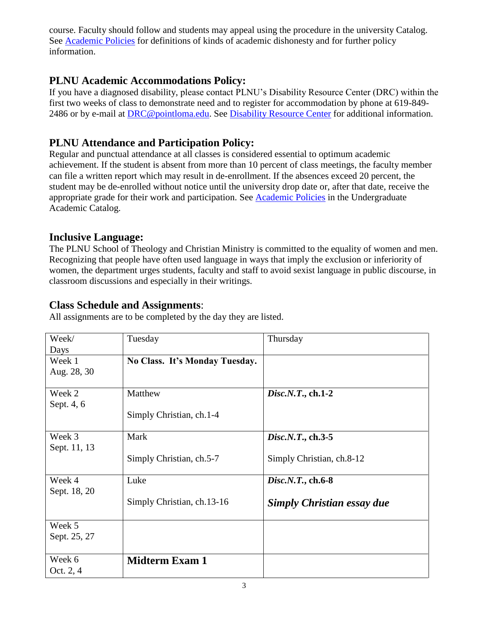course. Faculty should follow and students may appeal using the procedure in the university Catalog. See [Academic Policies](http://catalog.pointloma.edu/content.php?catoid=18&navoid=1278) for definitions of kinds of academic dishonesty and for further policy information.

# **PLNU Academic Accommodations Policy:**

If you have a diagnosed disability, please contact PLNU's Disability Resource Center (DRC) within the first two weeks of class to demonstrate need and to register for accommodation by phone at 619-849- 2486 or by e-mail at [DRC@pointloma.edu.](mailto:DRC@pointloma.edu) See [Disability Resource Center](http://www.pointloma.edu/experience/offices/administrative-offices/academic-advising-office/disability-resource-center) for additional information.

## **PLNU Attendance and Participation Policy:**

Regular and punctual attendance at all classes is considered essential to optimum academic achievement. If the student is absent from more than 10 percent of class meetings, the faculty member can file a written report which may result in de-enrollment. If the absences exceed 20 percent, the student may be de-enrolled without notice until the university drop date or, after that date, receive the appropriate grade for their work and participation. See [Academic Policies](http://catalog.pointloma.edu/content.php?catoid=18&navoid=1278) in the Undergraduate Academic Catalog.

### **Inclusive Language:**

The PLNU School of Theology and Christian Ministry is committed to the equality of women and men. Recognizing that people have often used language in ways that imply the exclusion or inferiority of women, the department urges students, faculty and staff to avoid sexist language in public discourse, in classroom discussions and especially in their writings.

### **Class Schedule and Assignments**:

All assignments are to be completed by the day they are listed.

| Week/        | Tuesday                        | Thursday                          |
|--------------|--------------------------------|-----------------------------------|
| Days         |                                |                                   |
| Week 1       | No Class. It's Monday Tuesday. |                                   |
| Aug. 28, 30  |                                |                                   |
|              |                                |                                   |
| Week 2       | Matthew                        | $Disc.N. T., ch. 1-2$             |
| Sept. 4, 6   |                                |                                   |
|              | Simply Christian, ch.1-4       |                                   |
|              |                                |                                   |
| Week 3       | Mark                           | Disc.N.T., ch.3-5                 |
| Sept. 11, 13 |                                |                                   |
|              | Simply Christian, ch.5-7       | Simply Christian, ch.8-12         |
|              |                                |                                   |
| Week 4       | Luke                           | Disc.N.T., ch.6-8                 |
| Sept. 18, 20 |                                |                                   |
|              | Simply Christian, ch.13-16     | <b>Simply Christian essay due</b> |
|              |                                |                                   |
| Week 5       |                                |                                   |
| Sept. 25, 27 |                                |                                   |
|              |                                |                                   |
| Week 6       | <b>Midterm Exam 1</b>          |                                   |
| Oct. 2, 4    |                                |                                   |